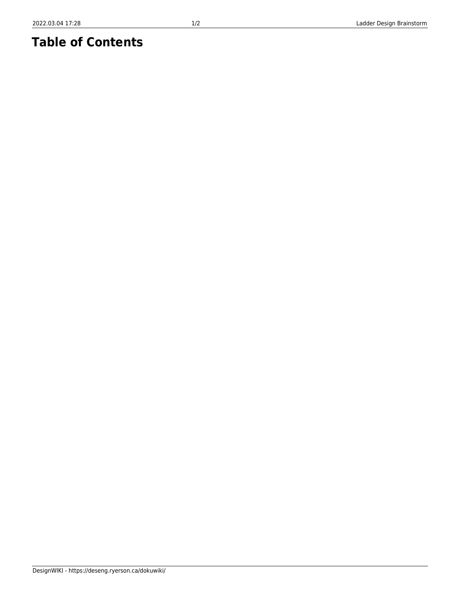## **Table of Contents**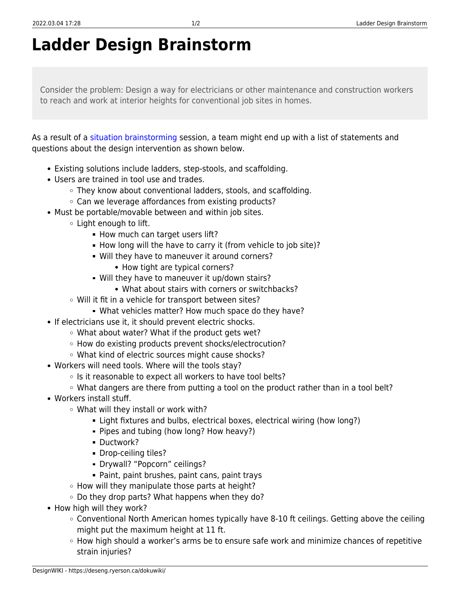## **Ladder Design Brainstorm**

Consider the problem: Design a way for electricians or other maintenance and construction workers to reach and work at interior heights for conventional job sites in homes.

As a result of a [situation brainstorming](https://deseng.ryerson.ca/dokuwiki/design:situation_brainstorming) session, a team might end up with a list of statements and questions about the design intervention as shown below.

- Existing solutions include ladders, step-stools, and scaffolding.
- Users are trained in tool use and trades.
	- They know about conventional ladders, stools, and scaffolding.
	- Can we leverage affordances from existing products?
- Must be portable/movable between and within job sites.
	- Light enough to lift.
		- How much can target users lift?
		- How long will the have to carry it (from vehicle to job site)?
		- Will they have to maneuver it around corners?
			- How tight are typical corners?
		- Will they have to maneuver it up/down stairs?
			- What about stairs with corners or switchbacks?
	- Will it fit in a vehicle for transport between sites?
		- What vehicles matter? How much space do they have?
- If electricians use it, it should prevent electric shocks.
	- What about water? What if the product gets wet?
	- $\circ$  How do existing products prevent shocks/electrocution?
	- What kind of electric sources might cause shocks?
- Workers will need tools. Where will the tools stay?
	- $\circ$  Is it reasonable to expect all workers to have tool belts?
	- What dangers are there from putting a tool on the product rather than in a tool belt?
- Workers install stuff.
	- What will they install or work with?
		- Light fixtures and bulbs, electrical boxes, electrical wiring (how long?)
		- **Pipes and tubing (how long? How heavy?)**
		- **Ductwork?**
		- **Drop-ceiling tiles?**
		- Drywall? "Popcorn" ceilings?
		- Paint, paint brushes, paint cans, paint trays
	- $\circ$  How will they manipulate those parts at height?
	- $\circ$  Do they drop parts? What happens when they do?
- How high will they work?
	- Conventional North American homes typically have 8-10 ft ceilings. Getting above the ceiling might put the maximum height at 11 ft.
	- $\circ$  How high should a worker's arms be to ensure safe work and minimize chances of repetitive strain injuries?